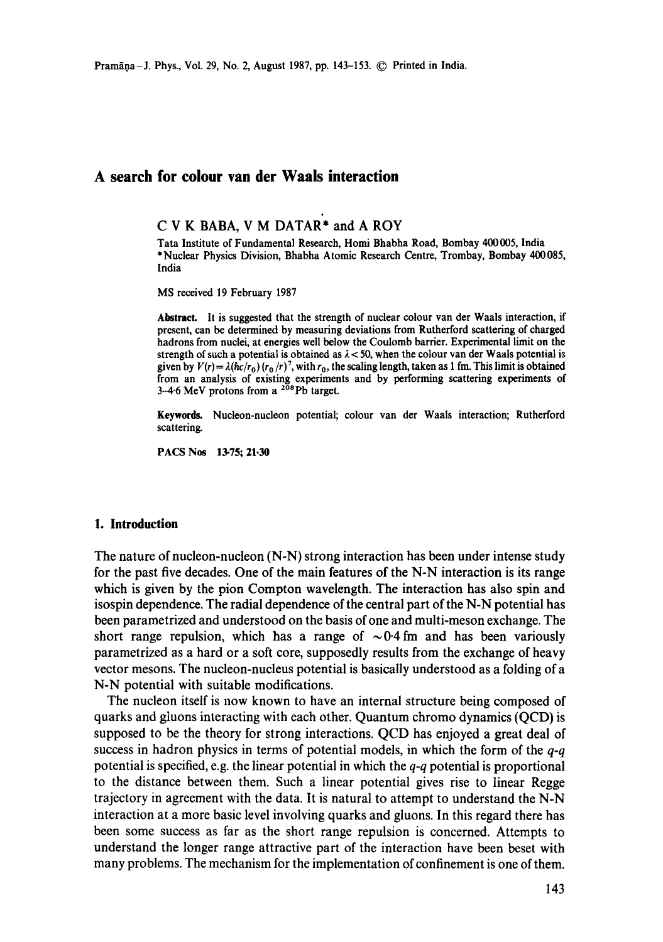# **A search for colour van der Waals interaction**

**C V K BABA, V M DATAR'\* and A** ROY

Tata Institute of Fundamental Research, Homi Bhabha Road, Bombay 400 005, **India**  \*Nuclear Physics Division, Bhabha Atomic Research Centre, Trombay, Bombay 400085, **India** 

MS received 19 February 1987

Abstract. It is suggested that the strength of nuclear colour van der Waals interaction, if present, can be determined by measuring deviations from Rutherford scattering of charged hadrons from nuclei, at energies well below the Coulomb barrier. Experimental limit on the strength of such a potential is obtained as  $\lambda < 50$ , when the colour van der Waals potential is given by  $V(r) = \lambda (hc/r_0) (r_0/r)^7$ , with  $r_0$ , the scaling length, taken as 1 fm. This limit is obtained from an analysis of existing experiments and by performing scattering experiments of 3-4-6 MeV protons from a  $2\overline{0}8$ Pb target.

**Keywords.** Nucleon-nucleon potential; colour van der Waals interaction; Rutherford scattering.

PACS Nos 13.75; 21.30

### **1. Introduction**

The nature of nucleon-nucleon (N-N) strong interaction has been under intense study for the past five decades. One of the main features of the N-N interaction is its range which is given by the pion Compton wavelength. The interaction has also spin and isospin dependence. The radial dependence of the central part of the N-N potential has been parametrized and understood on the basis of one and multi-meson exchange. The short range repulsion, which has a range of  $\sim 0.4$  fm and has been variously parametrized as a hard or a soft core, supposedly results from the exchange of heavy vector mesons. The nucleon-nucleus potential is basically understood as a folding of a N-N potential with suitable modifications.

The nucleon itself is now known to have an internal structure being composed of quarks and gluons interacting with each other. Quantum chromo dynamics (QCD) is supposed to be the theory for strong interactions. QCD has enjoyed a great deal of success in hadron physics in terms of potential models, in which the form of the *q-q*  potential is specified, e.g. the linear potential in which the *q-q* potential is proportional to the distance between them. Such a linear potential gives rise to linear Regge trajectory in agreement with the data. It is natural to attempt to understand the N-N interaction at a more basic level involving quarks and gluons. In this regard there has been some success as far as the short range repulsion is concerned. Attempts to understand the longer range attractive part of the interaction have been beset with many problems. The mechanism for the implementation of confinement is one of them.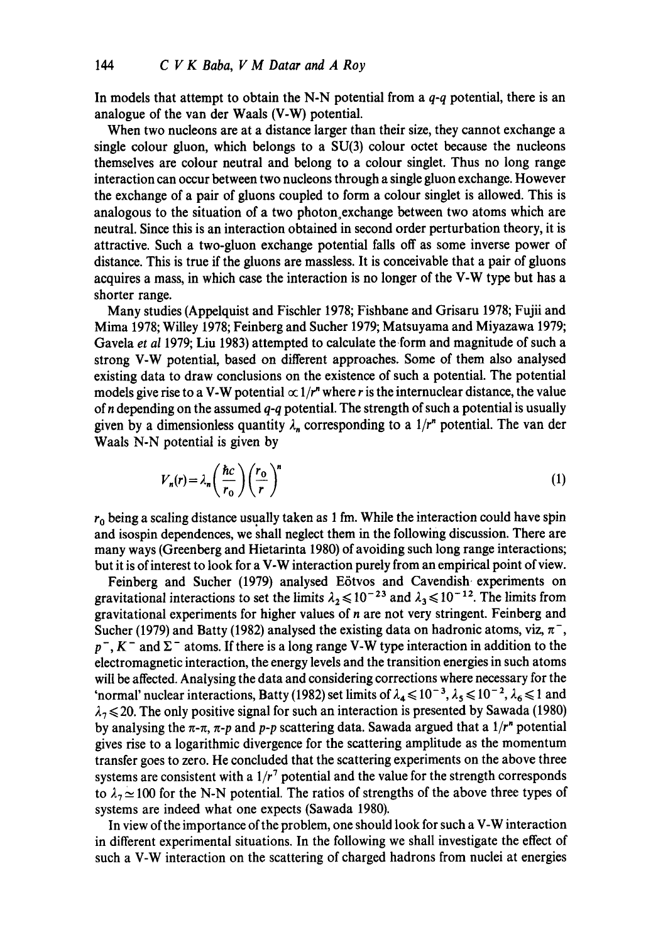In models that attempt to obtain the N-N potential from a *q-q* potential, there is an analogue of the van der Waals (V-W) potential.

When two nucleons are at a distance larger than their size, they cannot exchange a single colour gluon, which belongs to a  $SU(3)$  colour octet because the nucleons themselves are colour neutral and belong to a colour singlet. Thus no long range interaction can occur between two nucleons through a single gluon exchange. However the exchange of a pair of gluons coupled to form a colour singlet is allowed. This is analogous to the situation of a two photon exchange between two atoms which are neutral. Since this is an interaction obtained in second order perturbation theory, it is attractive. Such a two-gluon exchange potential falls off as some inverse power of distance. This is true if the gluons are massless. It is conceivable that a pair of gluons acquires a mass, in which case the interaction is no longer of the V-W type but has a shorter range.

Many studies (Appelquist and Fischler 1978; Fishbane and Grisaru 1978; Fujii and Mima 1978; Willey 1978; Feinberg and Sucher 1979; Matsuyama and Miyazawa 1979; Gavela *et al* 1979; Liu 1983) attempted to calculate theform and magnitude of such a strong V-W potential, based on different approaches. Some of them also analysed existing data to draw conclusions on the existence of such a potential. The potential models give rise to a V-W potential  $\propto 1/r^n$  where r is the internuclear distance, the value of n depending on the assumed *q-q* potential. The strength of such a potential is usually given by a dimensionless quantity  $\lambda_n$  corresponding to a  $1/r^n$  potential. The van der Waals N-N potential is given by

$$
V_n(r) = \lambda_n \left(\frac{\hbar c}{r_0}\right) \left(\frac{r_0}{r}\right)^n \tag{1}
$$

 $r_0$  being a scaling distance usually taken as 1 fm. While the interaction could have spin and isospin dependences, we shall neglect them in the following discussion. There are many ways (Greenberg and Hietarinta 1980) of avoiding such long range interactions; but it is of interest to look for a V-W interaction purely from an empirical point of view.

Feinberg and Sucher (1979) analysed Eötvos and Cavendish experiments on gravitational interactions to set the limits  $\lambda_2 \le 10^{-23}$  and  $\lambda_3 \le 10^{-12}$ . The limits from gravitational experiments for higher values of n are not very stringent. Feinberg and Sucher (1979) and Batty (1982) analysed the existing data on hadronic atoms, viz,  $\pi^{-}$ ,  $p^-, K^-$  and  $\Sigma^-$  atoms. If there is a long range V-W type interaction in addition to the electromagnetic interaction, the energy levels and the transition energies in such atoms will be affected. Analysing the data and considering corrections where necessary for the 'normal' nuclear interactions, Batty (1982) set limits of  $\lambda_4 \le 10^{-3}$ ,  $\lambda_5 \le 10^{-2}$ ,  $\lambda_6 \le 1$  and  $\lambda_7 \leq 20$ . The only positive signal for such an interaction is presented by Sawada (1980) by analysing the  $\pi$ - $\pi$ ,  $\pi$ - $p$  and  $p$ - $p$  scattering data. Sawada argued that a  $1/r^n$  potential gives rise to a logarithmic divergence for the scattering amplitude as the momentum transfer goes to zero. He concluded that the scattering experiments on the above three systems are consistent with a  $1/r<sup>7</sup>$  potential and the value for the strength corresponds to  $\lambda_7 \simeq 100$  for the N-N potential. The ratios of strengths of the above three types of systems are indeed what one expects (Sawada 1980).

In view of the importance of the problem, one should look for such a V-W interaction in different experimental situations. In the following we shall investigate the effect of such a V-W interaction on the scattering of charged hadrons from nuclei at energies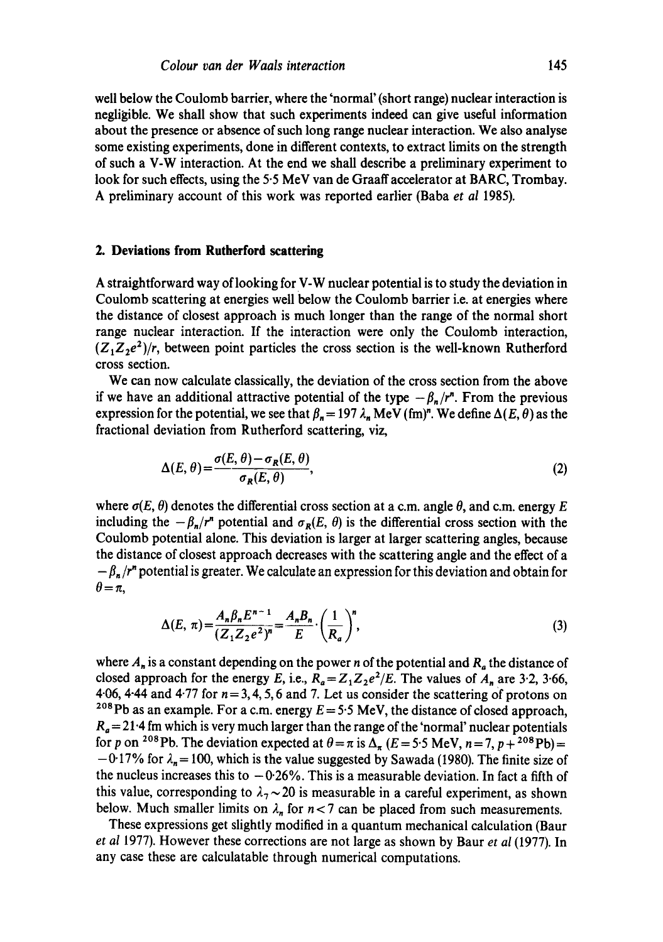well below the Coulomb barrier, where the 'normal' (short range) nuclear interaction is negligible. We shall show that such experiments indeed can give useful information about the presence or absence of such long range nuclear interaction. We also analyse some existing experiments, done in different contexts, to extract limits on the strength of such a V-W interaction. At the end we shall describe a preliminary experiment to look for such effects, using the 5.5 MeV van de Graaff accelerator at BARC, Trombay. A preliminary account of this work was reported earlier (Baba *et al* 1985).

#### **2. Deviations from Rutherford scattering**

A straightforward way of looking for V-W nuclear potential is to study the deviation in Coulomb scattering at energies well below the Coulomb barrier i.e. at energies where the distance of closest approach is much longer than the range of the normal short range nuclear interaction. If the interaction were only the Coulomb interaction,  $(Z_1Z_2e^2)/r$ , between point particles the cross section is the well-known Rutherford cross section.

We can now calculate classically, the deviation of the cross section from the above if we have an additional attractive potential of the type  $-\beta_n/r^n$ . From the previous expression for the potential, we see that  $\beta_n = 197 \lambda_n$  MeV (fm)<sup>n</sup>. We define  $\Delta(E, \theta)$  as the fractional deviation from Rutherford scattering, viz,

$$
\Delta(E,\theta) = \frac{\sigma(E,\theta) - \sigma_R(E,\theta)}{\sigma_R(E,\theta)},
$$
\n(2)

where  $\sigma(E, \theta)$  denotes the differential cross section at a c.m. angle  $\theta$ , and c.m. energy E including the  $-\beta_n/r^n$  potential and  $\sigma_R(E, \theta)$  is the differential cross section with the Coulomb potential alone. This deviation is larger at larger scattering angles, because the distance of closest approach decreases with the scattering angle and the effect of a  $-\beta_n/r^n$  potential is greater. We calculate an expression for this deviation and obtain for  $\theta = \pi$ ,

$$
\Delta(E,\,\pi) = \frac{A_n \beta_n E^{n-1}}{(Z_1 Z_2 e^2)^n} = \frac{A_n B_n}{E} \cdot \left(\frac{1}{R_a}\right)^n,\tag{3}
$$

where  $A_n$  is a constant depending on the power n of the potential and  $R_a$  the distance of closed approach for the energy E, i.e.,  $R_a = Z_1 Z_2 e^2 / E$ . The values of  $A_n$  are 3.2, 3.66, 4.06, 4.44 and 4.77 for  $n = 3, 4, 5, 6$  and 7. Let us consider the scattering of protons on <sup>208</sup>Pb as an example. For a c.m. energy  $E = 5.5$  MeV, the distance of closed approach,  $R_a = 21.4$  fm which is very much larger than the range of the 'normal' nuclear potentials for p on <sup>208</sup>Pb. The deviation expected at  $\theta = \pi$  is  $\Delta_{\pi}$  (E = 5.5 MeV, n = 7, p + <sup>208</sup>Pb) =  $-0.17\%$  for  $\lambda_n = 100$ , which is the value suggested by Sawada (1980). The finite size of the nucleus increases this to  $-0.26\%$ . This is a measurable deviation. In fact a fifth of this value, corresponding to  $\lambda_7 \sim 20$  is measurable in a careful experiment, as shown below. Much smaller limits on  $\lambda_n$  for  $n < 7$  can be placed from such measurements.

These expressions get slightly modified in a quantum mechanical calculation (Baur *et al* 1977). However these corrections are not large as shown by Baur *et al* (1977). In any case these are calculatable through numerical computations.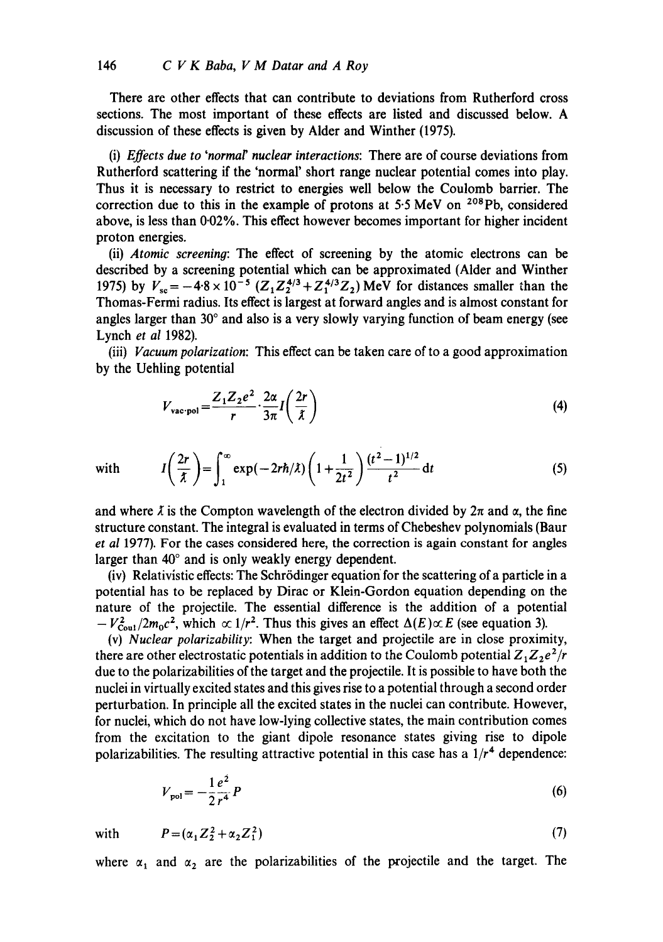There are other effects that can contribute to deviations from Rutherford cross sections. The most important of these effects are listed and discussed below. A discussion of these effects is given by Alder and Winther (1975).

(i) *Effects due to 'normar nuclear interactions:* There are of course deviations from Rutherford scattering if the 'normal' short range nuclear potential comes into play. Thus it is necessary to restrict to energies well below the Coulomb barrier. The correction due to this in the example of protons at  $5.5$  MeV on  $208$ Pb, considered above, is less than 0.02%. This effect however becomes important for higher incident proton energies.

(ii) *Atomic screening:* The effect of screening by the atomic electrons can be described by a screening potential which can be approximated (Alder and Winther 1975) by  $V_{\text{sc}} = -4.8 \times 10^{-5} (Z_1 Z_2^{4/3} + Z_1^{4/3} Z_2) \text{MeV}$  for distances smaller than the Thomas-Fermi radius. Its effect is largest at forward angles and is almost constant for angles larger than  $30^{\circ}$  and also is a very slowly varying function of beam energy (see Lynch *et al* 1982).

(iii) *Vacuum polarization:* This effect can be taken care of to a good approximation by the Uehling potential

$$
V_{\text{vac-pol}} = \frac{Z_1 Z_2 e^2}{r} \cdot \frac{2\alpha}{3\pi} I\left(\frac{2r}{\lambda}\right)
$$
 (4)

with 
$$
I\left(\frac{2r}{\lambda}\right) = \int_{1}^{\infty} \exp(-2rh/\lambda) \left(1 + \frac{1}{2t^2}\right) \frac{(t^2 - 1)^{1/2}}{t^2} dt
$$
 (5)

and where  $\lambda$  is the Compton wavelength of the electron divided by  $2\pi$  and  $\alpha$ , the fine structure constant. The integral is evaluated in terms of Chebeshev polynomials (Baur *et al* 1977). For the cases considered here, the correction is again constant for angles larger than  $40^{\circ}$  and is only weakly energy dependent.

(iv) Relativistic effects: The Schr6dinger equation for the scattering of a particle in a potential has to be replaced by Dirac or Klein-Gordon equation depending on the nature of the projectile. The essential difference is the addition of a potential  $-V_{\text{Coul}}^2/2m_0c^2$ , which  $\propto 1/r^2$ . Thus this gives an effect  $\Delta(E)\propto E$  (see equation 3).

(v) *Nuclear polarizability:* When the target and projectile are in close proximity, there are other electrostatic potentials in addition to the Coulomb potential  $Z_1 Z_2 e^2/r$ due to the polarizabilities of the target and the projectile. It is possible to have both the nuclei in virtually excited states and this gives rise to a potential through a second order perturbation. In principle all the excited states in the nuclei can contribute. However, for nuclei, which do not have low-lying collective states, the main contribution comes from the excitation to the giant dipole resonance states giving rise to dipole polarizabilities. The resulting attractive potential in this case has a  $1/r<sup>4</sup>$  dependence:

$$
V_{\text{pol}} = -\frac{1}{2} \frac{e^2}{r^4} P \tag{6}
$$

with 
$$
P = (\alpha_1 Z_2^2 + \alpha_2 Z_1^2)
$$
 (7)

where  $\alpha_1$  and  $\alpha_2$  are the polarizabilities of the projectile and the target. The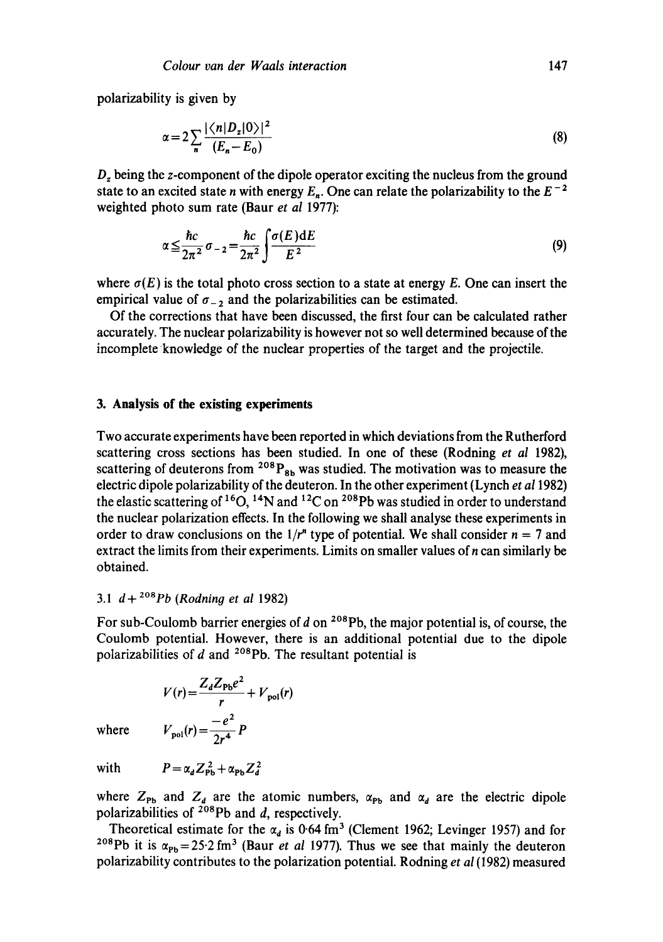polarizability is given by

$$
\alpha = 2 \sum_{n} \frac{|\langle n|D_z|0\rangle|^2}{(E_n - E_0)}\tag{8}
$$

D, being the z-component of the dipole operator exciting the nucleus from the ground state to an excited state n with energy  $E_n$ . One can relate the polarizability to the  $E^{-2}$ weighted photo sum rate (Baur *et al* 1977):

$$
\alpha \leq \frac{\hbar c}{2\pi^2} \sigma_{-2} = \frac{\hbar c}{2\pi^2} \int \frac{\sigma(E) \, \mathrm{d} E}{E^2} \tag{9}
$$

where  $\sigma(E)$  is the total photo cross section to a state at energy E. One can insert the empirical value of  $\sigma_{-2}$  and the polarizabilities can be estimated.

Of the corrections that have been discussed, the first four can be calculated rather accurately. The nuclear polarizability is however not so well determined because of the incomplete knowledge of the nuclear properties of the target and the projectile.

### **3. Analysis of the existing experiments**

Two accurate experiments have been reported in which deviations from the Rutherford scattering cross sections has been studied. In one of these (Rodning *et al* 1982), scattering of deuterons from  $^{208}P_{8b}$  was studied. The motivation was to measure the electric dipole polarizability of the deuteron. In the other experiment (Lynch *et a11982)*  the elastic scattering of <sup>16</sup>O, <sup>14</sup>N and <sup>12</sup>C on <sup>208</sup>Pb was studied in order to understand the nuclear polarization effects. In the following we shall analyse these experiments in order to draw conclusions on the  $1/r^n$  type of potential. We shall consider  $n = 7$  and extract the limits from their experiments. Limits on smaller values of n can similarly be obtained.

## 3.1  $d + {}^{208}Pb$  (Rodning et al 1982)

For sub-Coulomb barrier energies of  $d$  on <sup>208</sup>Pb, the major potential is, of course, the Coulomb potential. However, there is an additional potential due to the dipole polarizabilities of  $d$  and <sup>208</sup>Pb. The resultant potential is

$$
V(r) = \frac{Z_d Z_{\text{Pb}} e^2}{r} + V_{\text{pol}}(r)
$$

$$
V_{\text{pol}}(r) = \frac{-e^2}{2r^4} P
$$

where

with  $P = \alpha_d Z_{\text{ph}}^2 + \alpha_{\text{ph}} Z_d^2$ 

where  $Z_{Pb}$  and  $Z_d$  are the atomic numbers,  $\alpha_{Pb}$  and  $\alpha_d$  are the electric dipole polarizabilities of  $^{208}Pb$  and d, respectively.

Theoretical estimate for the  $\alpha_d$  is 0.64 fm<sup>3</sup> (Clement 1962; Levinger 1957) and for <sup>208</sup>Pb it is  $\alpha_{\text{Pb}}$  = 25.2 fm<sup>3</sup> (Baur *et al 1977)*. Thus we see that mainly the deuteron polarizability contributes to the polarization potential. Rodning *et al* (1982) measured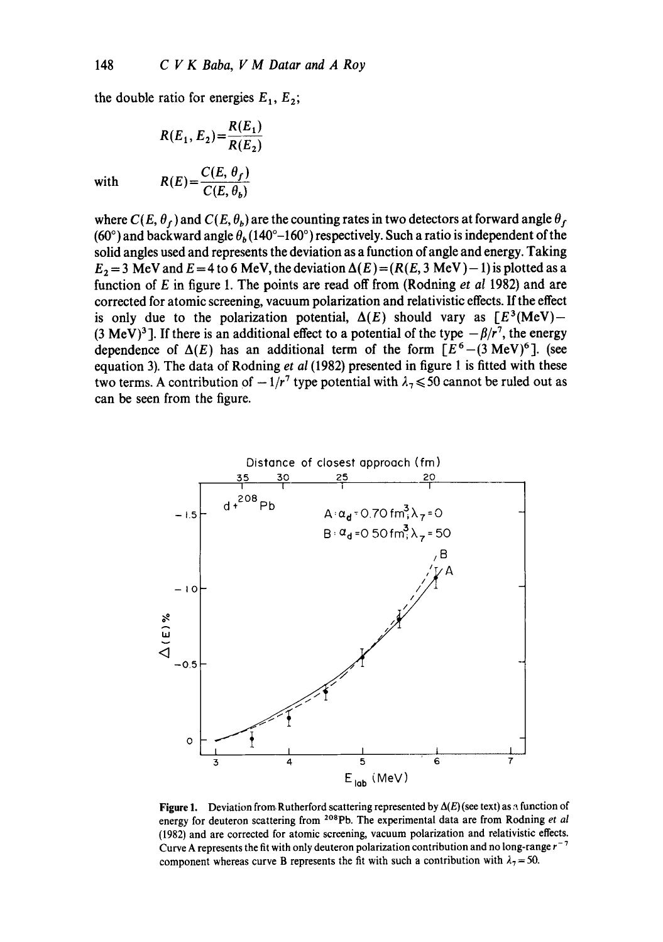the double ratio for energies  $E_1, E_2$ ;

$$
R(E_1, E_2) = \frac{R(E_1)}{R(E_2)}
$$
  
with 
$$
R(E) = \frac{C(E, \theta_f)}{C(E, \theta_b)}
$$

where  $C(E, \theta_f)$  and  $C(E, \theta_b)$  are the counting rates in two detectors at forward angle  $\theta_f$ (60°) and backward angle  $\theta_b$  (140°–160°) respectively. Such a ratio is independent of the solid angles used and represents the deviation as a function of angle and energy. Taking  $E_2 = 3$  MeV and  $E = 4$  to 6 MeV, the deviation  $\Delta(E) = (R(E, 3 \text{ MeV}) - 1)$  is plotted as a function of E in figure 1. The points are read off from (Rodning *et al* 1982) and are corrected for atomic screening, vacuum polarization and relativistic effects. If the effect is only due to the polarization potential,  $\Delta(E)$  should vary as  $[E^3(MeV) -$ (3 MeV)<sup>3</sup>]. If there is an additional effect to a potential of the type  $-\beta/r^7$ , the energy dependence of  $\Delta(E)$  has an additional term of the form  $[E^6-(3 \text{ MeV})^6]$ . (see equation 3). The data of Rodning *et al* (1982) presented in figure 1 is fitted with these two terms. A contribution of  $-1/r^7$  type potential with  $\lambda_7 \le 50$  cannot be ruled out as can be seen from the figure.



**Figure 1.** Deviation from Rutherford scattering represented by  $\Delta(E)$  (see text) as  $\alpha$  function of energy for deuteron scattering from <sup>208</sup>Pb. The experimental data are from Rodning *et al* (1982) and are corrected for atomic screening, vacuum polarization and relativistic effects. Curve A represents the fit with only deuteron polarization contribution and no long-range  $r^{-7}$ component whereas curve B represents the fit with such a contribution with  $\lambda_7 = 50$ .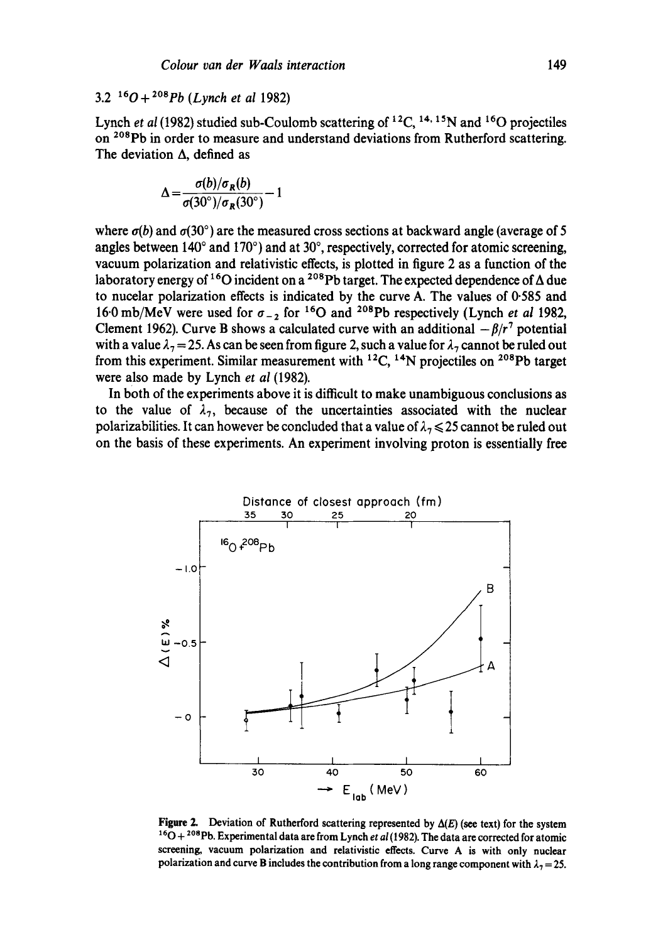## 3.2 160 + 2°8pb *(Lynch et al* 1982)

Lynch *et al* (1982) studied sub-Coulomb scattering of <sup>12</sup>C, <sup>14, 15</sup>N and <sup>16</sup>O projectiles on <sup>208</sup>Pb in order to measure and understand deviations from Rutherford scattering. The deviation  $\Lambda$ , defined as

$$
\Delta = \frac{\sigma(b)/\sigma_R(b)}{\sigma(30^\circ)/\sigma_R(30^\circ)} - 1
$$

where  $\sigma(b)$  and  $\sigma(30^\circ)$  are the measured cross sections at backward angle (average of 5 angles between 140 $^{\circ}$  and 170 $^{\circ}$ ) and at 30 $^{\circ}$ , respectively, corrected for atomic screening, vacuum polarization and relativistic effects, is plotted in figure 2 as a function of the laboratory energy of <sup>16</sup>O incident on a <sup>208</sup>Pb target. The expected dependence of  $\Delta$  due to nucelar polarization effects is indicated by the curve A. The values of 0.585 and 16.0 mb/MeV were used for  $\sigma_{-2}$  for <sup>16</sup>O and <sup>208</sup>Pb respectively (Lynch *et al* 1982, Clement 1962). Curve B shows a calculated curve with an additional  $-\beta/r^7$  potential with a value  $\lambda_7 = 25$ . As can be seen from figure 2, such a value for  $\lambda_7$  cannot be ruled out from this experiment. Similar measurement with  $^{12}C$ ,  $^{14}N$  projectiles on  $^{208}Pb$  target were also made by Lynch *et al* (1982).

In both of the experiments above it is difficult to make unambiguous conclusions as to the value of  $\lambda_7$ , because of the uncertainties associated with the nuclear polarizabilities. It can however be concluded that a value of  $\lambda_7 \leq 25$  cannot be ruled out on the basis of these experiments. An experiment involving proton is essentially free



**Figure 2.** Deviation of Rutherford scattering represented by  $\Delta(E)$  (see text) for the system <sup>16</sup>O + <sup>208</sup>Pb. Experimental data are from Lynch *et al* (1982). The data are corrected for atomic screening, vacuum polarization and relativistic effects. Curve A is with only nuclear polarization and curve B includes the contribution from a long range component with  $\lambda_7 = 25$ .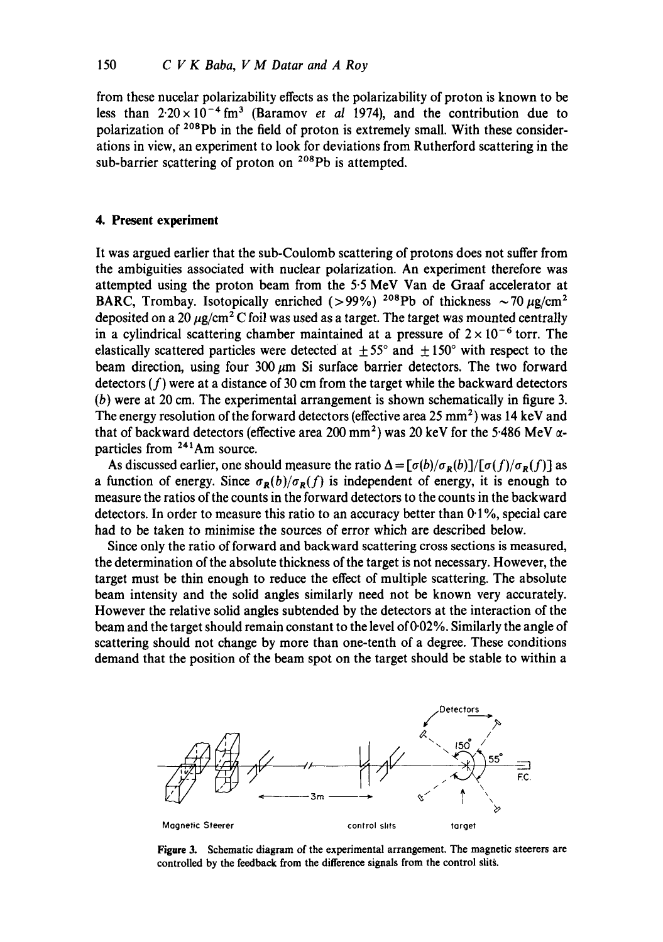from these nucelar polarizability effects as the polarizability of proton is known to be less than  $2.20 \times 10^{-4}$  fm<sup>3</sup> (Baramov *et al* 1974), and the contribution due to polarization of <sup>208</sup>Pb in the field of proton is extremely small. With these considerations in view, an experiment to look for deviations from Rutherford scattering in the sub-barrier scattering of proton on  $208Pb$  is attempted.

### **4. Present experiment**

It was argued earlier that the sub-Coulomb scattering of protons does not suffer from the ambiguities associated with nuclear polarization. An experiment therefore was attempted using the proton beam from the 5.5 MeV Van de Graaf accelerator at BARC, Trombay. Isotopically enriched (>99%) <sup>208</sup>Pb of thickness  $\sim$  70  $\mu$ g/cm<sup>2</sup> deposited on a 20  $\mu$ g/cm<sup>2</sup> C foil was used as a target. The target was mounted centrally in a cylindrical scattering chamber maintained at a pressure of  $2 \times 10^{-6}$  torr. The elastically scattered particles were detected at  $\pm 55^{\circ}$  and  $\pm 150^{\circ}$  with respect to the beam direction, using four 300  $\mu$ m Si surface barrier detectors. The two forward detectors  $(f)$  were at a distance of 30 cm from the target while the backward detectors (b) were at 20 cm. The experimental arrangement is shown schematically in figure 3. The energy resolution of the forward detectors (effective area  $25 \text{ mm}^2$ ) was 14 keV and that of backward detectors (effective area 200 mm<sup>2</sup>) was 20 keV for the 5.486 MeV  $\alpha$ particles from 241Am source.

As discussed earlier, one should measure the ratio  $\Delta = [\sigma(b)/\sigma_R(b)]/[\sigma(f)/\sigma_R(f)]$  as a function of energy. Since  $\sigma_R(b)/\sigma_R(f)$  is independent of energy, it is enough to measure the ratios of the counts in the forward detectors to the counts in the backward detectors. In order to measure this ratio to an accuracy better than 0.1%, special care had to be taken to minimise the sources of error which are described below.

Since only the ratio of forward and backward scattering cross sections is measured, the determination of the absolute thickness of the target is not necessary. However, the target must be thin enough to reduce the effect of multiple scattering. The absolute beam intensity and the solid angles similarly need not be known very accurately. However the relative solid angles subtended by the detectors at the interaction of the beam and the target should remain constant to the level of 0.02%. Similarly the angle of scattering should not change by more than one-tenth of a degree. These conditions demand that the position of the beam spot on the target should be stable to within a



**Figure** 3. Schematic diagram of the experimental arrangement. The magnetic steerers **are**  controlled by the feedback from the difference signals from the control slits.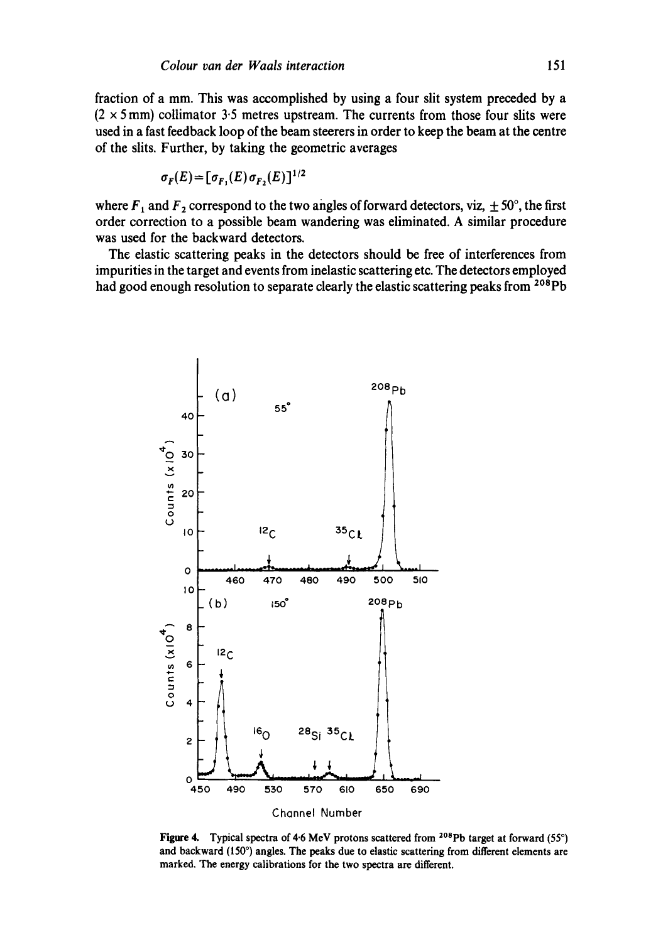fraction of a mm. This was accomplished by using a four slit system preceded by a  $(2 \times 5 \text{ mm})$  collimator 3.5 metres upstream. The currents from those four slits were used in a fast feedback loop of the beam steerers in order to keep the beam at the centre of the slits. Further, by taking the geometric averages

$$
\sigma_F(E) = [\sigma_{F_1}(E) \sigma_{F_2}(E)]^{1/2}
$$

where  $F_1$  and  $F_2$  correspond to the two angles of forward detectors, viz,  $\pm 50^\circ$ , the first order correction to a possible beam wandering was eliminated. A similar procedure was used for the backward detectors.

The elastic scattering peaks in the detectors should be free of interferences from impurities in the target and events from inelastic scattering etc. The detectors employed had good enough resolution to separate clearly the elastic scattering peaks from <sup>208</sup>Pb



Figure 4. Typical spectra of 4.6 MeV protons scattered from <sup>208</sup>Pb target at forward (55°) and backward (150 $^{\circ}$ ) angles. The peaks due to elastic scattering from different elements are marked. The energy calibrations for the two spectra are different.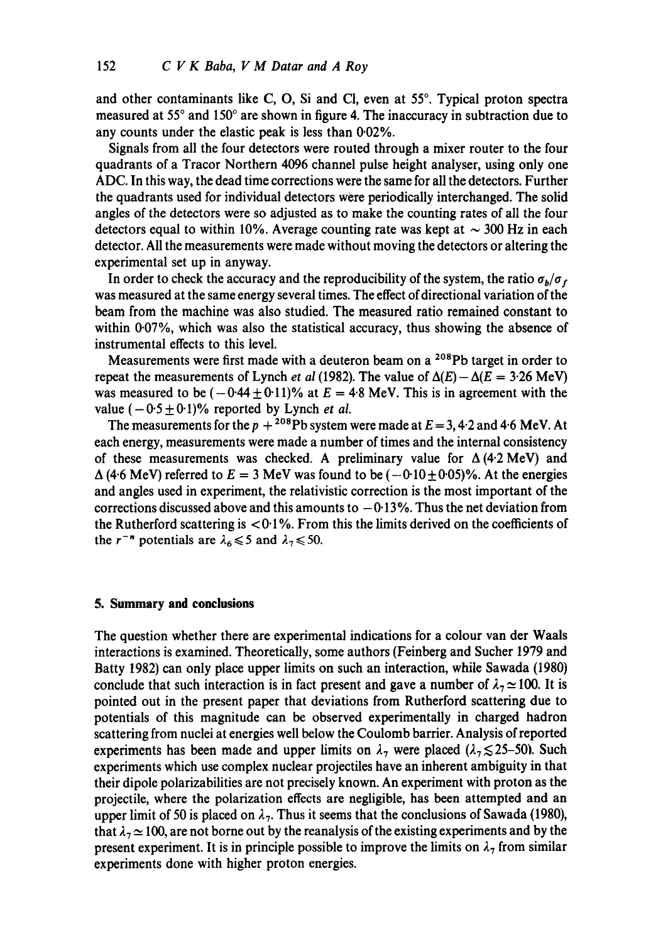and other contaminants like C, O, Si and Cl, even at 55°. Typical proton spectra measured at 55° and 150° are shown in figure 4. The inaccuracy in subtraction due to any counts under the elastic peak is less than 0.02%.

Signals from all the four detectors were routed through a mixer router to the four quadrants of a Tracor Northern 4096 channel pulse height analyser, using only one ADC. In this way, the dead time corrections were the same for all the detectors. Further the quadrants used for individual detectors were periodically interchanged. The solid angles of the detectors were so adjusted as to make the counting rates of all the four detectors equal to within 10%. Average counting rate was kept at  $\sim$  300 Hz in each detector. All the measurements were made without moving the detectors or altering the experimental set up in anyway.

In order to check the accuracy and the reproducibility of the system, the ratio  $\sigma_b/\sigma_f$ was measured at the same energy several times. The effect of directional variation of the beam from the machine was also studied. The measured ratio remained constant to within  $0.07\%$ , which was also the statistical accuracy, thus showing the absence of instrumental effects to this level.

Measurements were first made with a deuteron beam on a  $^{208}Pb$  target in order to repeat the measurements of Lynch *et al* (1982). The value of  $\Delta(E) - \Delta(E = 3.26 \text{ MeV})$ was measured to be  $(-0.44 \pm 0.11)\%$  at  $E = 4.8$  MeV. This is in agreement with the value  $(-0.5 \pm 0.1)\%$  reported by Lynch *et al.* 

The measurements for the  $p + {}^{208}Pb$  system were made at  $E = 3, 4.2$  and 4.6 MeV. At each energy, measurements were made a number of times and the internal consistency of these measurements was checked. A preliminary value for  $\Delta$  (4.2 MeV) and  $\Delta$  (4.6 MeV) referred to  $E = 3$  MeV was found to be  $(-0.10 \pm 0.05)$ %. At the energies and angles used in experiment, the relativistic correction is the most important of the corrections discussed above and this amounts to  $-0.13\%$ . Thus the net deviation from the Rutherford scattering is  $\langle 0.1\% \rangle$ . From this the limits derived on the coefficients of the r<sup>-n</sup> potentials are  $\lambda_6 \le 5$  and  $\lambda_7 \le 50$ .

#### **5. Summary and conclusions**

The question whether there are experimental indications for a colour van der Waals interactions is examined. Theoretically, some authors (Feinberg and Sucher 1979 and Batty 1982) can only place upper limits on such an interaction, while Sawada (1980) conclude that such interaction is in fact present and gave a number of  $\lambda_7 \approx 100$ . It is pointed out in the present paper that deviations from Rutherford scattering due to potentials of this magnitude can be observed experimentally in charged hadron scattering from nuclei at energies well below the Coulomb barrier. Analysis of reported experiments has been made and upper limits on  $\lambda_7$  were placed ( $\lambda_7 \le 25$ -50). Such experiments which use complex nuclear projectiles have an inherent ambiguity in that their dipole polarizabilities are not precisely known. An experiment with proton as the projectile, where the polarization effects are negligible, has been attempted and an upper limit of 50 is placed on  $\lambda_7$ . Thus it seems that the conclusions of Sawada (1980), that  $\lambda_7 \approx 100$ , are not borne out by the reanalysis of the existing experiments and by the present experiment. It is in principle possible to improve the limits on  $\lambda_7$  from similar experiments done with higher proton energies.